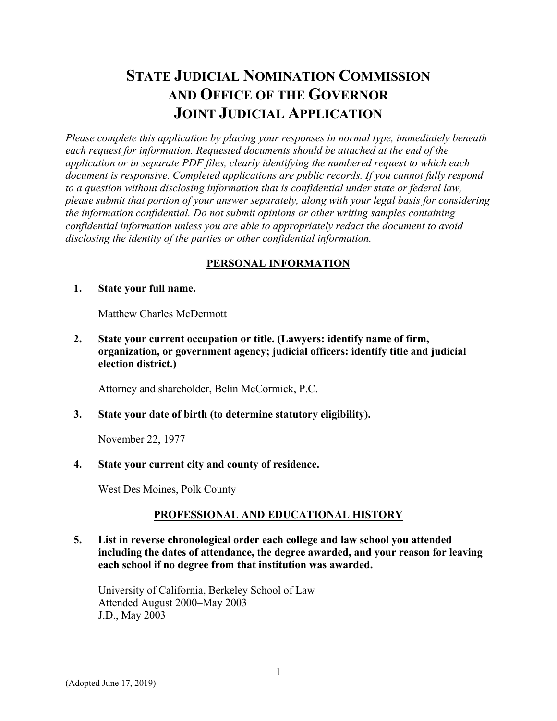# **STATE JUDICIAL NOMINATION COMMISSION AND OFFICE OF THE GOVERNOR JOINT JUDICIAL APPLICATION**

*Please complete this application by placing your responses in normal type, immediately beneath each request for information. Requested documents should be attached at the end of the application or in separate PDF files, clearly identifying the numbered request to which each document is responsive. Completed applications are public records. If you cannot fully respond to a question without disclosing information that is confidential under state or federal law, please submit that portion of your answer separately, along with your legal basis for considering the information confidential. Do not submit opinions or other writing samples containing confidential information unless you are able to appropriately redact the document to avoid disclosing the identity of the parties or other confidential information.* 

## **PERSONAL INFORMATION**

#### **1. State your full name.**

Matthew Charles McDermott

**2. State your current occupation or title. (Lawyers: identify name of firm, organization, or government agency; judicial officers: identify title and judicial election district.)** 

Attorney and shareholder, Belin McCormick, P.C.

### **3. State your date of birth (to determine statutory eligibility).**

November 22, 1977

### **4. State your current city and county of residence.**

West Des Moines, Polk County

# **PROFESSIONAL AND EDUCATIONAL HISTORY**

**5. List in reverse chronological order each college and law school you attended including the dates of attendance, the degree awarded, and your reason for leaving each school if no degree from that institution was awarded.** 

University of California, Berkeley School of Law Attended August 2000–May 2003 J.D., May 2003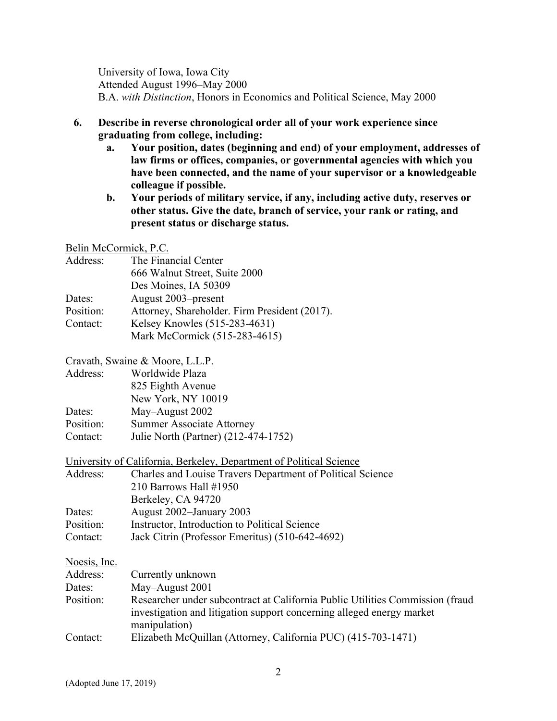University of Iowa, Iowa City Attended August 1996–May 2000 B.A. *with Distinction*, Honors in Economics and Political Science, May 2000

- **6. Describe in reverse chronological order all of your work experience since graduating from college, including:** 
	- **a. Your position, dates (beginning and end) of your employment, addresses of law firms or offices, companies, or governmental agencies with which you have been connected, and the name of your supervisor or a knowledgeable colleague if possible.**
	- **b. Your periods of military service, if any, including active duty, reserves or other status. Give the date, branch of service, your rank or rating, and present status or discharge status.**

#### Belin McCormick, P.C.

| Address:  | The Financial Center                          |
|-----------|-----------------------------------------------|
|           | 666 Walnut Street, Suite 2000                 |
|           | Des Moines, IA 50309                          |
| Dates:    | August 2003–present                           |
| Position: | Attorney, Shareholder. Firm President (2017). |
| Contact:  | Kelsey Knowles (515-283-4631)                 |
|           | Mark McCormick (515-283-4615)                 |

#### Cravath, Swaine & Moore, L.L.P.

| Address:  | Worldwide Plaza                      |
|-----------|--------------------------------------|
|           | 825 Eighth Avenue                    |
|           | New York, NY 10019                   |
| Dates:    | May-August 2002                      |
| Position: | <b>Summer Associate Attorney</b>     |
| Contact:  | Julie North (Partner) (212-474-1752) |

University of California, Berkeley, Department of Political Science

| Address:     | Charles and Louise Travers Department of Political Science |
|--------------|------------------------------------------------------------|
|              | 210 Barrows Hall $\#1950$                                  |
|              | Berkeley, CA 94720                                         |
| Dates:       | August 2002-January 2003                                   |
| Position:    | Instructor, Introduction to Political Science              |
| Contact:     | Jack Citrin (Professor Emeritus) (510-642-4692)            |
|              |                                                            |
| Noesis, Inc. |                                                            |
|              |                                                            |

| Address:  | Currently unknown                                                                                                                                                       |
|-----------|-------------------------------------------------------------------------------------------------------------------------------------------------------------------------|
| Dates:    | May-August 2001                                                                                                                                                         |
| Position: | Researcher under subcontract at California Public Utilities Commission (fraud<br>investigation and litigation support concerning alleged energy market<br>manipulation) |
| Contact:  | Elizabeth McQuillan (Attorney, California PUC) (415-703-1471)                                                                                                           |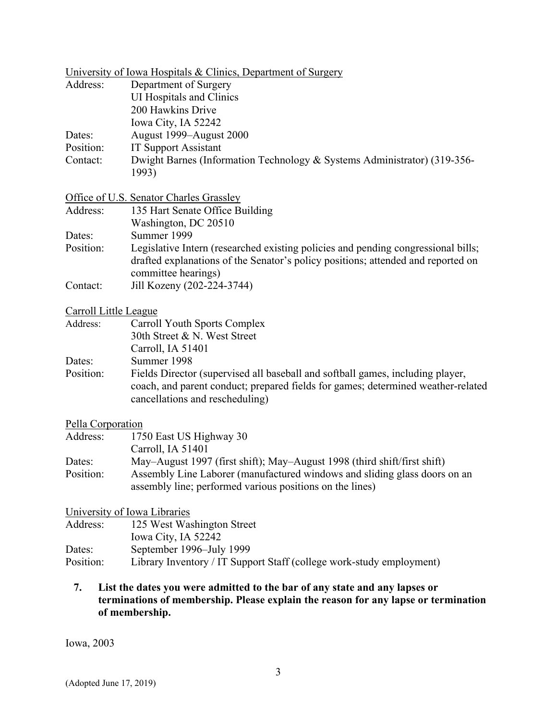|                       | University of Iowa Hospitals & Clinics, Department of Surgery                                                                                                                                         |
|-----------------------|-------------------------------------------------------------------------------------------------------------------------------------------------------------------------------------------------------|
| Address:              | Department of Surgery                                                                                                                                                                                 |
|                       | <b>UI Hospitals and Clinics</b>                                                                                                                                                                       |
|                       | 200 Hawkins Drive                                                                                                                                                                                     |
|                       | Iowa City, IA 52242                                                                                                                                                                                   |
| Dates:                | August 1999-August 2000                                                                                                                                                                               |
| Position:             | <b>IT Support Assistant</b>                                                                                                                                                                           |
| Contact:              | Dwight Barnes (Information Technology & Systems Administrator) (319-356-<br>1993)                                                                                                                     |
|                       | Office of U.S. Senator Charles Grassley                                                                                                                                                               |
| Address:              | 135 Hart Senate Office Building                                                                                                                                                                       |
|                       | Washington, DC 20510                                                                                                                                                                                  |
| Dates:                | Summer 1999                                                                                                                                                                                           |
| Position:             | Legislative Intern (researched existing policies and pending congressional bills;<br>drafted explanations of the Senator's policy positions; attended and reported on<br>committee hearings)          |
| Contact:              | Jill Kozeny (202-224-3744)                                                                                                                                                                            |
| Carroll Little League |                                                                                                                                                                                                       |
| Address:              | Carroll Youth Sports Complex                                                                                                                                                                          |
|                       | 30th Street & N. West Street                                                                                                                                                                          |
|                       | Carroll, IA 51401                                                                                                                                                                                     |
| Dates:                | Summer 1998                                                                                                                                                                                           |
| Position:             | Fields Director (supervised all baseball and softball games, including player,<br>coach, and parent conduct; prepared fields for games; determined weather-related<br>cancellations and rescheduling) |
| Pella Corporation     |                                                                                                                                                                                                       |
| Address:              | 1750 East US Highway 30                                                                                                                                                                               |
|                       | Carroll, IA 51401                                                                                                                                                                                     |
| Dates:                | May-August 1997 (first shift); May-August 1998 (third shift/first shift)                                                                                                                              |
| Position:             | Assembly Line Laborer (manufactured windows and sliding glass doors on an<br>assembly line; performed various positions on the lines)                                                                 |
|                       | University of Iowa Libraries                                                                                                                                                                          |
| Address:              | 125 West Washington Street                                                                                                                                                                            |
| Dates:                | Iowa City, IA 52242<br>September 1996–July 1999                                                                                                                                                       |
| Position:             | Library Inventory / IT Support Staff (college work-study employment)                                                                                                                                  |
|                       |                                                                                                                                                                                                       |
|                       | I ist the dates you were admitted to the har of any state and any lanses or                                                                                                                           |

### **7. List the dates you were admitted to the bar of any state and any lapses or terminations of membership. Please explain the reason for any lapse or termination of membership.**

Iowa, 2003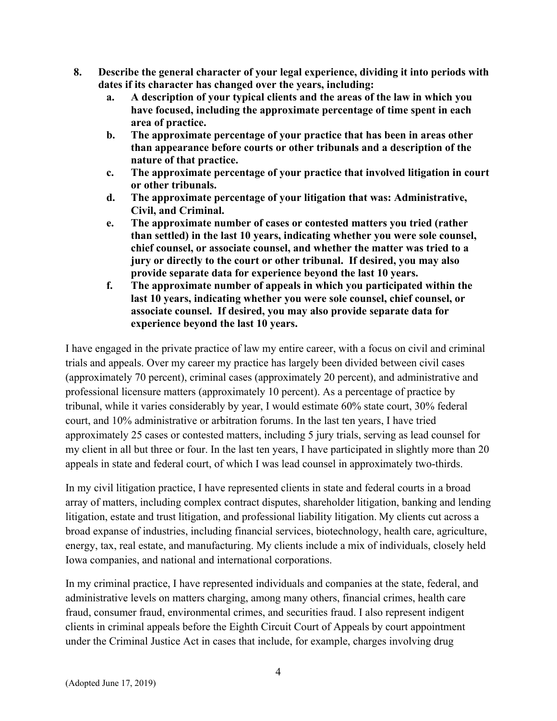- **8. Describe the general character of your legal experience, dividing it into periods with dates if its character has changed over the years, including:** 
	- **a. A description of your typical clients and the areas of the law in which you have focused, including the approximate percentage of time spent in each area of practice.**
	- **b. The approximate percentage of your practice that has been in areas other than appearance before courts or other tribunals and a description of the nature of that practice.**
	- **c. The approximate percentage of your practice that involved litigation in court or other tribunals.**
	- **d. The approximate percentage of your litigation that was: Administrative, Civil, and Criminal.**
	- **e. The approximate number of cases or contested matters you tried (rather than settled) in the last 10 years, indicating whether you were sole counsel, chief counsel, or associate counsel, and whether the matter was tried to a jury or directly to the court or other tribunal. If desired, you may also provide separate data for experience beyond the last 10 years.**
	- **f. The approximate number of appeals in which you participated within the last 10 years, indicating whether you were sole counsel, chief counsel, or associate counsel. If desired, you may also provide separate data for experience beyond the last 10 years.**

I have engaged in the private practice of law my entire career, with a focus on civil and criminal trials and appeals. Over my career my practice has largely been divided between civil cases (approximately 70 percent), criminal cases (approximately 20 percent), and administrative and professional licensure matters (approximately 10 percent). As a percentage of practice by tribunal, while it varies considerably by year, I would estimate 60% state court, 30% federal court, and 10% administrative or arbitration forums. In the last ten years, I have tried approximately 25 cases or contested matters, including 5 jury trials, serving as lead counsel for my client in all but three or four. In the last ten years, I have participated in slightly more than 20 appeals in state and federal court, of which I was lead counsel in approximately two-thirds.

In my civil litigation practice, I have represented clients in state and federal courts in a broad array of matters, including complex contract disputes, shareholder litigation, banking and lending litigation, estate and trust litigation, and professional liability litigation. My clients cut across a broad expanse of industries, including financial services, biotechnology, health care, agriculture, energy, tax, real estate, and manufacturing. My clients include a mix of individuals, closely held Iowa companies, and national and international corporations.

In my criminal practice, I have represented individuals and companies at the state, federal, and administrative levels on matters charging, among many others, financial crimes, health care fraud, consumer fraud, environmental crimes, and securities fraud. I also represent indigent clients in criminal appeals before the Eighth Circuit Court of Appeals by court appointment under the Criminal Justice Act in cases that include, for example, charges involving drug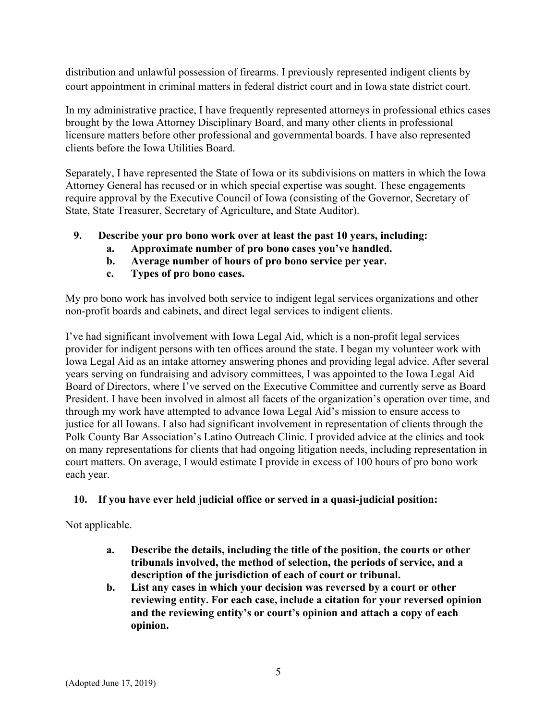distribution and unlawful possession of firearms. I previously represented indigent clients by court appointment in criminal matters in federal district court and in Iowa state district court.

In my administrative practice, I have frequently represented attorneys in professional ethics cases brought by the Iowa Attorney Disciplinary Board, and many other clients in professional licensure matters before other professional and governmental boards. I have also represented clients before the Iowa Utilities Board.

Separately, I have represented the State of Iowa or its subdivisions on matters in which the Iowa Attorney General has recused or in which special expertise was sought. These engagements require approval by the Executive Council of Iowa (consisting of the Governor, Secretary of State, State Treasurer, Secretary of Agriculture, and State Auditor).

- **9. Describe your pro bono work over at least the past 10 years, including:** 
	- **a. Approximate number of pro bono cases you've handled.**
	- **b. Average number of hours of pro bono service per year.**
	- **c. Types of pro bono cases.**

My pro bono work has involved both service to indigent legal services organizations and other non-profit boards and cabinets, and direct legal services to indigent clients.

I've had significant involvement with Iowa Legal Aid, which is a non-profit legal services provider for indigent persons with ten offices around the state. I began my volunteer work with Iowa Legal Aid as an intake attorney answering phones and providing legal advice. After several years serving on fundraising and advisory committees, I was appointed to the Iowa Legal Aid Board of Directors, where I've served on the Executive Committee and currently serve as Board President. I have been involved in almost all facets of the organization's operation over time, and through my work have attempted to advance Iowa Legal Aid's mission to ensure access to justice for all Iowans. I also had significant involvement in representation of clients through the Polk County Bar Association's Latino Outreach Clinic. I provided advice at the clinics and took on many representations for clients that had ongoing litigation needs, including representation in court matters. On average, I would estimate I provide in excess of 100 hours of pro bono work each year.

### **10. If you have ever held judicial office or served in a quasi-judicial position:**

Not applicable.

- **a. Describe the details, including the title of the position, the courts or other tribunals involved, the method of selection, the periods of service, and a description of the jurisdiction of each of court or tribunal.**
- **b. List any cases in which your decision was reversed by a court or other reviewing entity. For each case, include a citation for your reversed opinion and the reviewing entity's or court's opinion and attach a copy of each opinion.**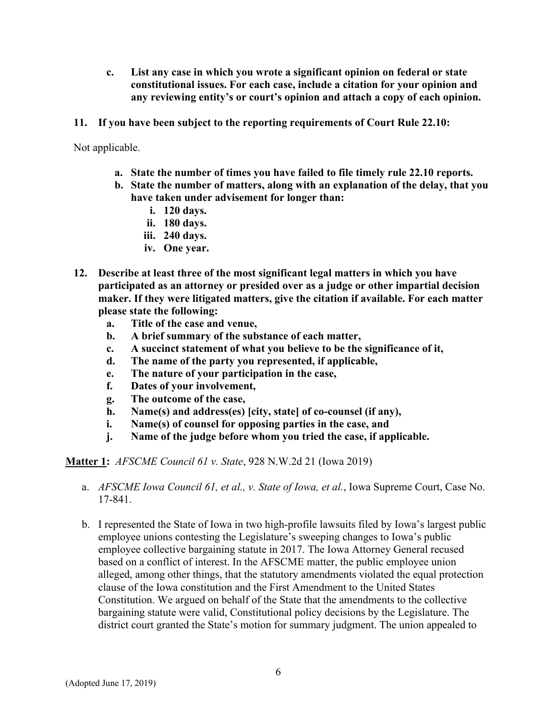- **c. List any case in which you wrote a significant opinion on federal or state constitutional issues. For each case, include a citation for your opinion and any reviewing entity's or court's opinion and attach a copy of each opinion.**
- **11. If you have been subject to the reporting requirements of Court Rule 22.10:**

Not applicable.

- **a. State the number of times you have failed to file timely rule 22.10 reports.**
- **b. State the number of matters, along with an explanation of the delay, that you have taken under advisement for longer than:** 
	- **i. 120 days.**
	- **ii. 180 days.**
	- **iii. 240 days.**
	- **iv. One year.**
- **12. Describe at least three of the most significant legal matters in which you have participated as an attorney or presided over as a judge or other impartial decision maker. If they were litigated matters, give the citation if available. For each matter please state the following:** 
	- **a. Title of the case and venue,**
	- **b. A brief summary of the substance of each matter,**
	- **c. A succinct statement of what you believe to be the significance of it,**
	- **d. The name of the party you represented, if applicable,**
	- **e. The nature of your participation in the case,**
	- **f. Dates of your involvement,**
	- **g. The outcome of the case,**
	- **h. Name(s) and address(es) [city, state] of co-counsel (if any),**
	- **i. Name(s) of counsel for opposing parties in the case, and**
	- **j. Name of the judge before whom you tried the case, if applicable.**

**Matter 1:** *AFSCME Council 61 v. State*, 928 N.W.2d 21 (Iowa 2019)

- a. *AFSCME Iowa Council 61, et al., v. State of Iowa, et al.*, Iowa Supreme Court, Case No. 17-841.
- b. I represented the State of Iowa in two high-profile lawsuits filed by Iowa's largest public employee unions contesting the Legislature's sweeping changes to Iowa's public employee collective bargaining statute in 2017. The Iowa Attorney General recused based on a conflict of interest. In the AFSCME matter, the public employee union alleged, among other things, that the statutory amendments violated the equal protection clause of the Iowa constitution and the First Amendment to the United States Constitution. We argued on behalf of the State that the amendments to the collective bargaining statute were valid, Constitutional policy decisions by the Legislature. The district court granted the State's motion for summary judgment. The union appealed to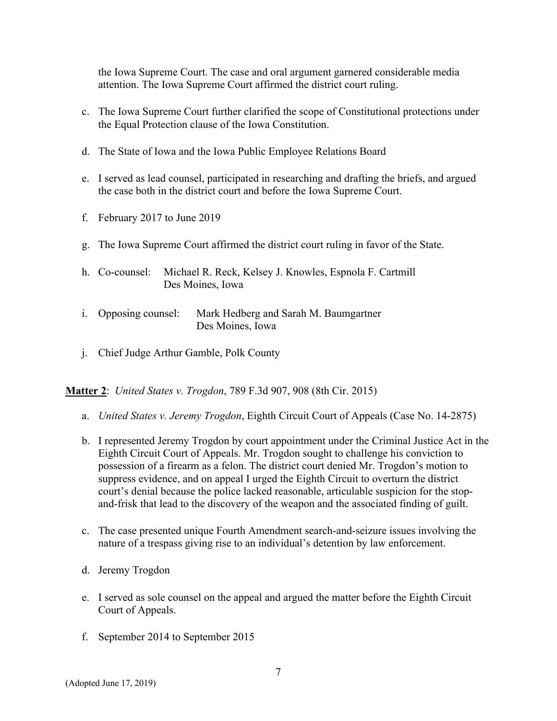the Iowa Supreme Court. The case and oral argument garnered considerable media attention. The Iowa Supreme Court affirmed the district court ruling.

- c. The Iowa Supreme Court further clarified the scope of Constitutional protections under the Equal Protection clause of the Iowa Constitution.
- d. The State of Iowa and the Iowa Public Employee Relations Board
- e. I served as lead counsel, participated in researching and drafting the briefs, and argued the case both in the district court and before the Iowa Supreme Court.
- f. February 2017 to June 2019
- g. The Iowa Supreme Court affirmed the district court ruling in favor of the State.
- h. Co-counsel: Michael R. Reck, Kelsey J. Knowles, Espnola F. Cartmill Des Moines, Iowa
- i. Opposing counsel: Mark Hedberg and Sarah M. Baumgartner Des Moines, Iowa
- j. Chief Judge Arthur Gamble, Polk County

**Matter 2**: *United States v. Trogdon*, 789 F.3d 907, 908 (8th Cir. 2015)

- a. *United States v. Jeremy Trogdon*, Eighth Circuit Court of Appeals (Case No. 14-2875)
- b. I represented Jeremy Trogdon by court appointment under the Criminal Justice Act in the Eighth Circuit Court of Appeals. Mr. Trogdon sought to challenge his conviction to possession of a firearm as a felon. The district court denied Mr. Trogdon's motion to suppress evidence, and on appeal I urged the Eighth Circuit to overturn the district court's denial because the police lacked reasonable, articulable suspicion for the stopand-frisk that lead to the discovery of the weapon and the associated finding of guilt.
- c. The case presented unique Fourth Amendment search-and-seizure issues involving the nature of a trespass giving rise to an individual's detention by law enforcement.
- d. Jeremy Trogdon
- e. I served as sole counsel on the appeal and argued the matter before the Eighth Circuit Court of Appeals.
- f. September 2014 to September 2015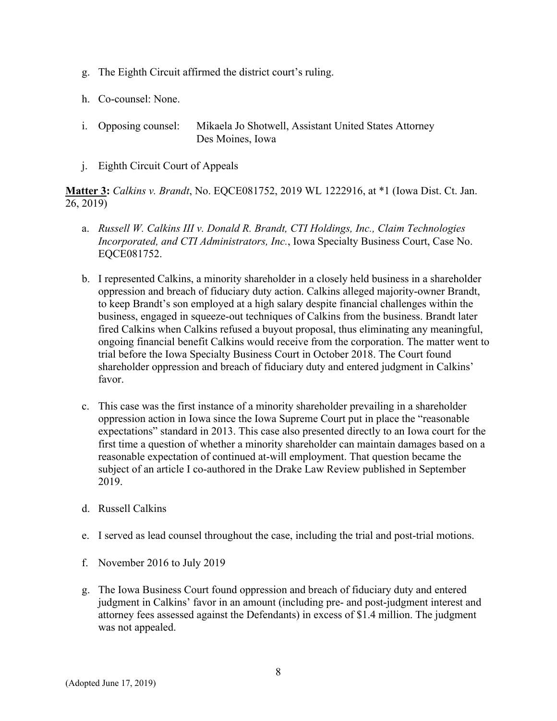- g. The Eighth Circuit affirmed the district court's ruling.
- h. Co-counsel: None.
- i. Opposing counsel: Mikaela Jo Shotwell, Assistant United States Attorney Des Moines, Iowa
- j. Eighth Circuit Court of Appeals

**Matter 3:** *Calkins v. Brandt*, No. EQCE081752, 2019 WL 1222916, at \*1 (Iowa Dist. Ct. Jan. 26, 2019)

- a. *Russell W. Calkins III v. Donald R. Brandt, CTI Holdings, Inc., Claim Technologies Incorporated, and CTI Administrators, Inc.*, Iowa Specialty Business Court, Case No. EQCE081752.
- b. I represented Calkins, a minority shareholder in a closely held business in a shareholder oppression and breach of fiduciary duty action. Calkins alleged majority-owner Brandt, to keep Brandt's son employed at a high salary despite financial challenges within the business, engaged in squeeze-out techniques of Calkins from the business. Brandt later fired Calkins when Calkins refused a buyout proposal, thus eliminating any meaningful, ongoing financial benefit Calkins would receive from the corporation. The matter went to trial before the Iowa Specialty Business Court in October 2018. The Court found shareholder oppression and breach of fiduciary duty and entered judgment in Calkins' favor.
- c. This case was the first instance of a minority shareholder prevailing in a shareholder oppression action in Iowa since the Iowa Supreme Court put in place the "reasonable expectations" standard in 2013. This case also presented directly to an Iowa court for the first time a question of whether a minority shareholder can maintain damages based on a reasonable expectation of continued at-will employment. That question became the subject of an article I co-authored in the Drake Law Review published in September 2019.
- d. Russell Calkins
- e. I served as lead counsel throughout the case, including the trial and post-trial motions.
- f. November 2016 to July 2019
- g. The Iowa Business Court found oppression and breach of fiduciary duty and entered judgment in Calkins' favor in an amount (including pre- and post-judgment interest and attorney fees assessed against the Defendants) in excess of \$1.4 million. The judgment was not appealed.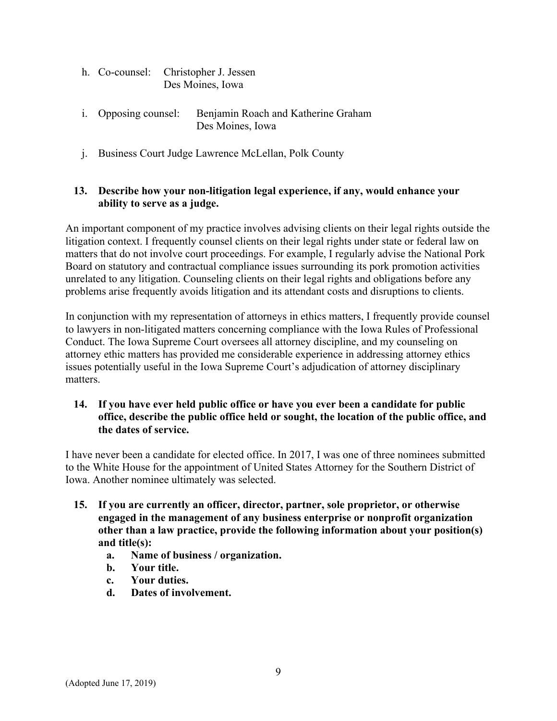|  | h. Co-counsel: Christopher J. Jessen |
|--|--------------------------------------|
|  | Des Moines, Iowa                     |

- i. Opposing counsel: Benjamin Roach and Katherine Graham Des Moines, Iowa
- j. Business Court Judge Lawrence McLellan, Polk County

### **13. Describe how your non-litigation legal experience, if any, would enhance your ability to serve as a judge.**

An important component of my practice involves advising clients on their legal rights outside the litigation context. I frequently counsel clients on their legal rights under state or federal law on matters that do not involve court proceedings. For example, I regularly advise the National Pork Board on statutory and contractual compliance issues surrounding its pork promotion activities unrelated to any litigation. Counseling clients on their legal rights and obligations before any problems arise frequently avoids litigation and its attendant costs and disruptions to clients.

In conjunction with my representation of attorneys in ethics matters, I frequently provide counsel to lawyers in non-litigated matters concerning compliance with the Iowa Rules of Professional Conduct. The Iowa Supreme Court oversees all attorney discipline, and my counseling on attorney ethic matters has provided me considerable experience in addressing attorney ethics issues potentially useful in the Iowa Supreme Court's adjudication of attorney disciplinary matters.

### **14. If you have ever held public office or have you ever been a candidate for public office, describe the public office held or sought, the location of the public office, and the dates of service.**

I have never been a candidate for elected office. In 2017, I was one of three nominees submitted to the White House for the appointment of United States Attorney for the Southern District of Iowa. Another nominee ultimately was selected.

- **15. If you are currently an officer, director, partner, sole proprietor, or otherwise engaged in the management of any business enterprise or nonprofit organization other than a law practice, provide the following information about your position(s) and title(s):** 
	- **a. Name of business / organization.**
	- **b. Your title.**
	- **c. Your duties.**
	- **d. Dates of involvement.**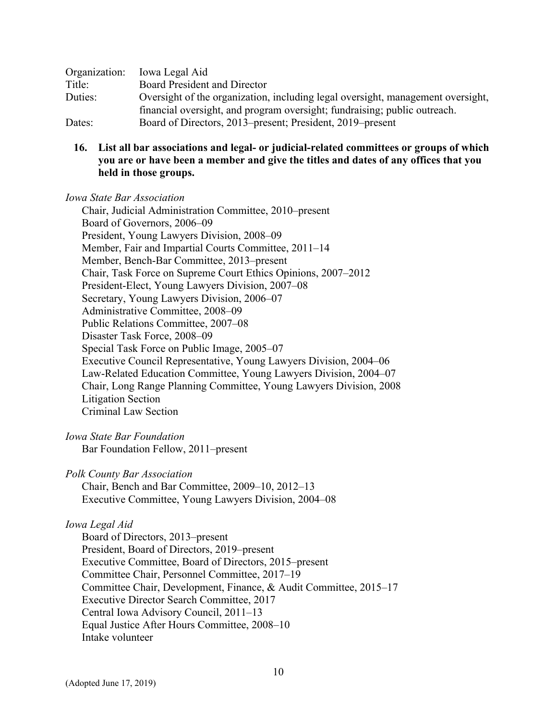| Organization: | Iowa Legal Aid                                                                  |  |
|---------------|---------------------------------------------------------------------------------|--|
| Title:        | <b>Board President and Director</b>                                             |  |
| Duties:       | Oversight of the organization, including legal oversight, management oversight, |  |
|               | financial oversight, and program oversight; fundraising; public outreach.       |  |
| Dates:        | Board of Directors, 2013–present; President, 2019–present                       |  |

**16. List all bar associations and legal- or judicial-related committees or groups of which you are or have been a member and give the titles and dates of any offices that you held in those groups.** 

*Iowa State Bar Association*

Chair, Judicial Administration Committee, 2010–present Board of Governors, 2006–09 President, Young Lawyers Division, 2008–09 Member, Fair and Impartial Courts Committee, 2011–14 Member, Bench-Bar Committee, 2013–present Chair, Task Force on Supreme Court Ethics Opinions, 2007–2012 President-Elect, Young Lawyers Division, 2007–08 Secretary, Young Lawyers Division, 2006–07 Administrative Committee, 2008–09 Public Relations Committee, 2007–08 Disaster Task Force, 2008–09 Special Task Force on Public Image, 2005–07 Executive Council Representative, Young Lawyers Division, 2004–06 Law-Related Education Committee, Young Lawyers Division, 2004–07 Chair, Long Range Planning Committee, Young Lawyers Division, 2008 Litigation Section Criminal Law Section

*Iowa State Bar Foundation* 

Bar Foundation Fellow, 2011–present

*Polk County Bar Association*

Chair, Bench and Bar Committee, 2009–10, 2012–13 Executive Committee, Young Lawyers Division, 2004–08

#### *Iowa Legal Aid*

Board of Directors, 2013–present President, Board of Directors, 2019–present Executive Committee, Board of Directors, 2015–present Committee Chair, Personnel Committee, 2017–19 Committee Chair, Development, Finance, & Audit Committee, 2015–17 Executive Director Search Committee, 2017 Central Iowa Advisory Council, 2011–13 Equal Justice After Hours Committee, 2008–10 Intake volunteer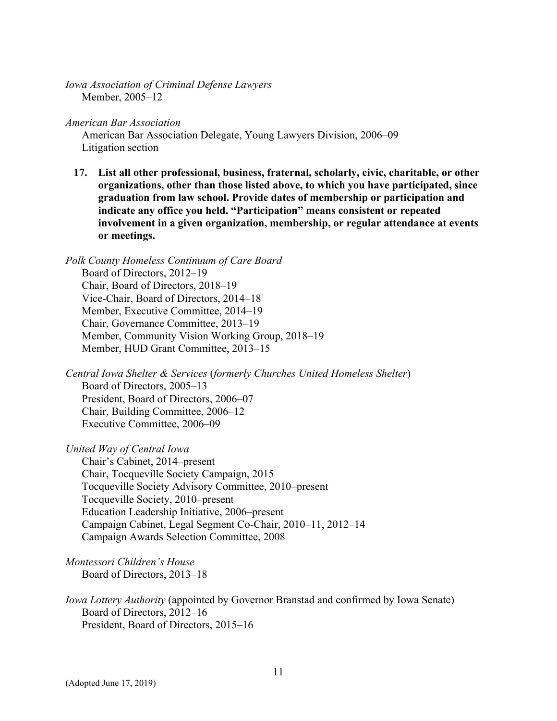*Iowa Association of Criminal Defense Lawyers* Member, 2005–12

*American Bar Association*

American Bar Association Delegate, Young Lawyers Division, 2006–09 Litigation section

**17. List all other professional, business, fraternal, scholarly, civic, charitable, or other organizations, other than those listed above, to which you have participated, since graduation from law school. Provide dates of membership or participation and indicate any office you held. "Participation" means consistent or repeated involvement in a given organization, membership, or regular attendance at events or meetings.** 

*Polk County Homeless Continuum of Care Board*  Board of Directors, 2012–19 Chair, Board of Directors, 2018–19 Vice-Chair, Board of Directors, 2014–18 Member, Executive Committee, 2014–19 Chair, Governance Committee, 2013–19 Member, Community Vision Working Group, 2018–19 Member, HUD Grant Committee, 2013–15

*Central Iowa Shelter & Services* (*formerly Churches United Homeless Shelter*) Board of Directors, 2005–13 President, Board of Directors, 2006–07 Chair, Building Committee, 2006–12 Executive Committee, 2006–09

*United Way of Central Iowa*  Chair's Cabinet, 2014–present Chair, Tocqueville Society Campaign, 2015 Tocqueville Society Advisory Committee, 2010–present Tocqueville Society, 2010–present Education Leadership Initiative, 2006–present Campaign Cabinet, Legal Segment Co-Chair, 2010–11, 2012–14 Campaign Awards Selection Committee, 2008

*Montessori Children's House* Board of Directors, 2013–18

*Iowa Lottery Authority* (appointed by Governor Branstad and confirmed by Iowa Senate) Board of Directors, 2012–16 President, Board of Directors, 2015–16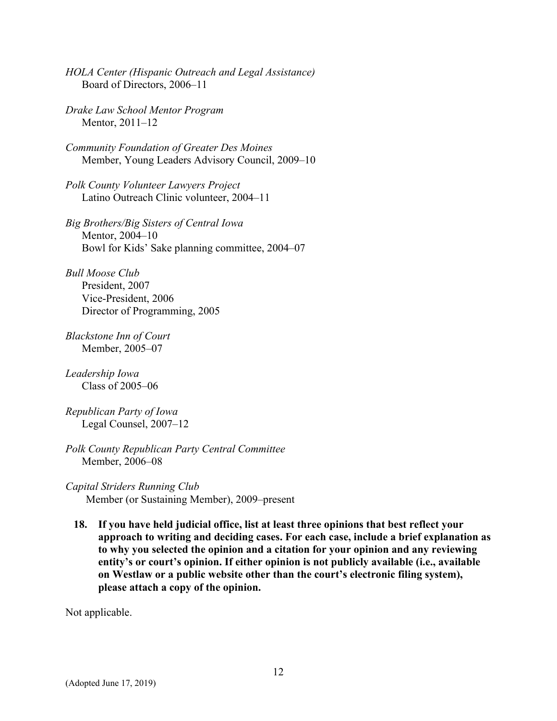- *HOLA Center (Hispanic Outreach and Legal Assistance)* Board of Directors, 2006–11
- *Drake Law School Mentor Program* Mentor, 2011–12
- *Community Foundation of Greater Des Moines*  Member, Young Leaders Advisory Council, 2009–10

*Polk County Volunteer Lawyers Project* Latino Outreach Clinic volunteer, 2004–11

*Big Brothers/Big Sisters of Central Iowa* Mentor, 2004–10 Bowl for Kids' Sake planning committee, 2004–07

*Bull Moose Club* President, 2007 Vice-President, 2006 Director of Programming, 2005

*Blackstone Inn of Court*  Member, 2005–07

*Leadership Iowa* Class of 2005–06

*Republican Party of Iowa* Legal Counsel, 2007–12

- *Polk County Republican Party Central Committee*  Member, 2006–08
- *Capital Striders Running Club* Member (or Sustaining Member), 2009–present
	- **18. If you have held judicial office, list at least three opinions that best reflect your approach to writing and deciding cases. For each case, include a brief explanation as to why you selected the opinion and a citation for your opinion and any reviewing entity's or court's opinion. If either opinion is not publicly available (i.e., available on Westlaw or a public website other than the court's electronic filing system), please attach a copy of the opinion.**

Not applicable.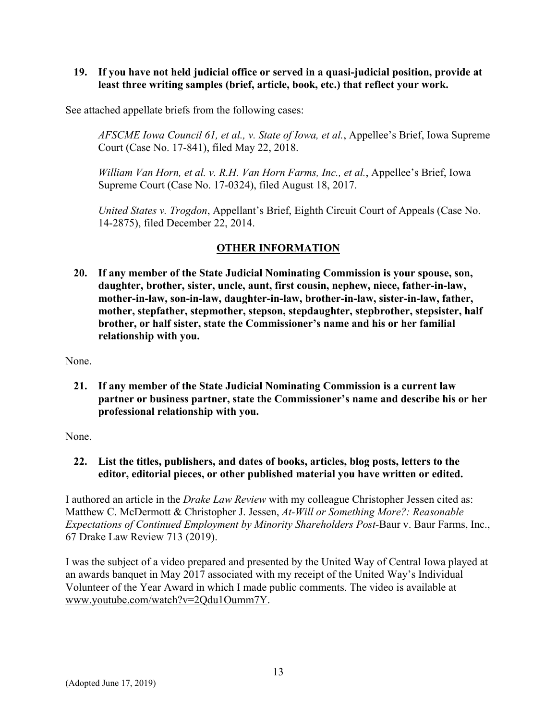**19. If you have not held judicial office or served in a quasi-judicial position, provide at least three writing samples (brief, article, book, etc.) that reflect your work.** 

See attached appellate briefs from the following cases:

*AFSCME Iowa Council 61, et al., v. State of Iowa, et al.*, Appellee's Brief, Iowa Supreme Court (Case No. 17-841), filed May 22, 2018.

*William Van Horn, et al. v. R.H. Van Horn Farms, Inc., et al.*, Appellee's Brief, Iowa Supreme Court (Case No. 17-0324), filed August 18, 2017.

*United States v. Trogdon*, Appellant's Brief, Eighth Circuit Court of Appeals (Case No. 14-2875), filed December 22, 2014.

# **OTHER INFORMATION**

**20. If any member of the State Judicial Nominating Commission is your spouse, son, daughter, brother, sister, uncle, aunt, first cousin, nephew, niece, father-in-law, mother-in-law, son-in-law, daughter-in-law, brother-in-law, sister-in-law, father, mother, stepfather, stepmother, stepson, stepdaughter, stepbrother, stepsister, half brother, or half sister, state the Commissioner's name and his or her familial relationship with you.** 

None.

**21. If any member of the State Judicial Nominating Commission is a current law partner or business partner, state the Commissioner's name and describe his or her professional relationship with you.** 

None.

**22. List the titles, publishers, and dates of books, articles, blog posts, letters to the editor, editorial pieces, or other published material you have written or edited.** 

I authored an article in the *Drake Law Review* with my colleague Christopher Jessen cited as: Matthew C. McDermott & Christopher J. Jessen, *At-Will or Something More?: Reasonable Expectations of Continued Employment by Minority Shareholders Post-*Baur v. Baur Farms, Inc., 67 Drake Law Review 713 (2019).

I was the subject of a video prepared and presented by the United Way of Central Iowa played at an awards banquet in May 2017 associated with my receipt of the United Way's Individual Volunteer of the Year Award in which I made public comments. The video is available at www.youtube.com/watch?v=2Qdu1Oumm7Y.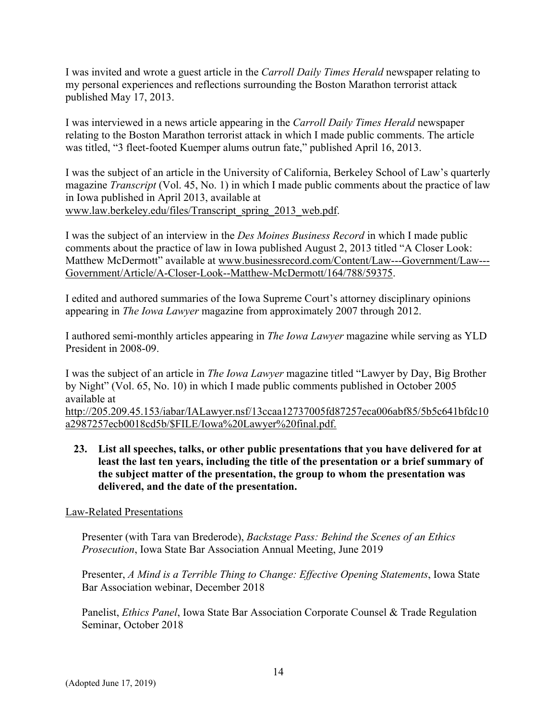I was invited and wrote a guest article in the *Carroll Daily Times Herald* newspaper relating to my personal experiences and reflections surrounding the Boston Marathon terrorist attack published May 17, 2013.

I was interviewed in a news article appearing in the *Carroll Daily Times Herald* newspaper relating to the Boston Marathon terrorist attack in which I made public comments. The article was titled, "3 fleet-footed Kuemper alums outrun fate," published April 16, 2013.

I was the subject of an article in the University of California, Berkeley School of Law's quarterly magazine *Transcript* (Vol. 45, No. 1) in which I made public comments about the practice of law in Iowa published in April 2013, available at www.law.berkeley.edu/files/Transcript\_spring\_2013\_web.pdf.

I was the subject of an interview in the *Des Moines Business Record* in which I made public comments about the practice of law in Iowa published August 2, 2013 titled "A Closer Look: Matthew McDermott" available at www.businessrecord.com/Content/Law---Government/Law--- Government/Article/A-Closer-Look--Matthew-McDermott/164/788/59375.

I edited and authored summaries of the Iowa Supreme Court's attorney disciplinary opinions appearing in *The Iowa Lawyer* magazine from approximately 2007 through 2012.

I authored semi-monthly articles appearing in *The Iowa Lawyer* magazine while serving as YLD President in 2008-09.

I was the subject of an article in *The Iowa Lawyer* magazine titled "Lawyer by Day, Big Brother by Night" (Vol. 65, No. 10) in which I made public comments published in October 2005 available at

http://205.209.45.153/iabar/IALawyer.nsf/13ccaa12737005fd87257eca006abf85/5b5c641bfdc10 a2987257ecb0018cd5b/\$FILE/Iowa%20Lawyer%20final.pdf.

**23. List all speeches, talks, or other public presentations that you have delivered for at least the last ten years, including the title of the presentation or a brief summary of the subject matter of the presentation, the group to whom the presentation was delivered, and the date of the presentation.** 

### Law-Related Presentations

Presenter (with Tara van Brederode), *Backstage Pass: Behind the Scenes of an Ethics Prosecution*, Iowa State Bar Association Annual Meeting, June 2019

Presenter, *A Mind is a Terrible Thing to Change: Effective Opening Statements*, Iowa State Bar Association webinar, December 2018

Panelist, *Ethics Panel*, Iowa State Bar Association Corporate Counsel & Trade Regulation Seminar, October 2018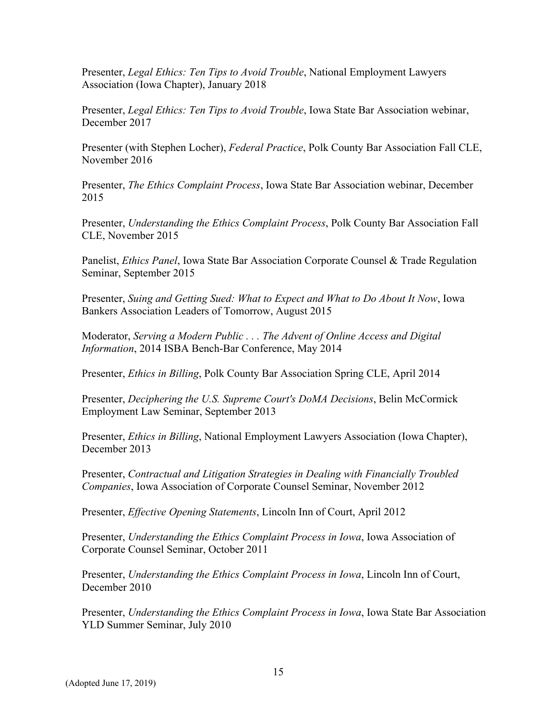Presenter, *Legal Ethics: Ten Tips to Avoid Trouble*, National Employment Lawyers Association (Iowa Chapter), January 2018

Presenter, *Legal Ethics: Ten Tips to Avoid Trouble*, Iowa State Bar Association webinar, December 2017

Presenter (with Stephen Locher), *Federal Practice*, Polk County Bar Association Fall CLE, November 2016

Presenter, *The Ethics Complaint Process*, Iowa State Bar Association webinar, December 2015

Presenter, *Understanding the Ethics Complaint Process*, Polk County Bar Association Fall CLE, November 2015

Panelist, *Ethics Panel*, Iowa State Bar Association Corporate Counsel & Trade Regulation Seminar, September 2015

Presenter, *Suing and Getting Sued: What to Expect and What to Do About It Now*, Iowa Bankers Association Leaders of Tomorrow, August 2015

Moderator, *Serving a Modern Public . . . The Advent of Online Access and Digital Information*, 2014 ISBA Bench-Bar Conference, May 2014

Presenter, *Ethics in Billing*, Polk County Bar Association Spring CLE, April 2014

Presenter, *Deciphering the U.S. Supreme Court's DoMA Decisions*, Belin McCormick Employment Law Seminar, September 2013

Presenter, *Ethics in Billing*, National Employment Lawyers Association (Iowa Chapter), December 2013

Presenter, *Contractual and Litigation Strategies in Dealing with Financially Troubled Companies*, Iowa Association of Corporate Counsel Seminar, November 2012

Presenter, *Effective Opening Statements*, Lincoln Inn of Court, April 2012

Presenter, *Understanding the Ethics Complaint Process in Iowa*, Iowa Association of Corporate Counsel Seminar, October 2011

Presenter, *Understanding the Ethics Complaint Process in Iowa*, Lincoln Inn of Court, December 2010

Presenter, *Understanding the Ethics Complaint Process in Iowa*, Iowa State Bar Association YLD Summer Seminar, July 2010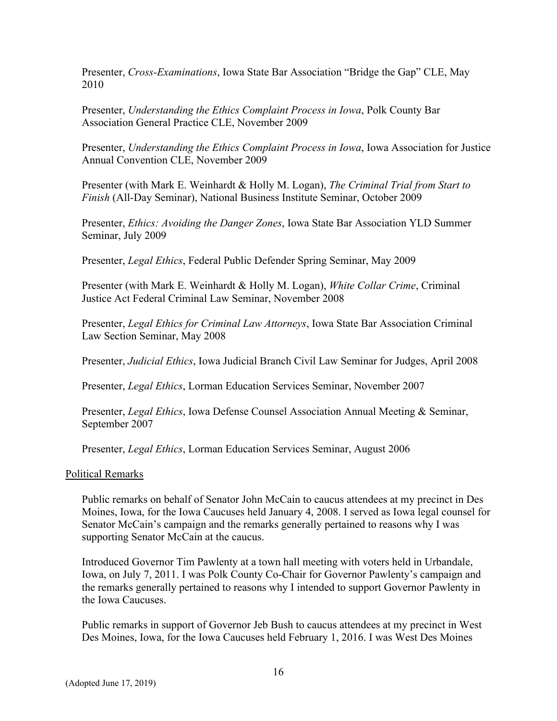Presenter, *Cross-Examinations*, Iowa State Bar Association "Bridge the Gap" CLE, May 2010

Presenter, *Understanding the Ethics Complaint Process in Iowa*, Polk County Bar Association General Practice CLE, November 2009

Presenter, *Understanding the Ethics Complaint Process in Iowa*, Iowa Association for Justice Annual Convention CLE, November 2009

Presenter (with Mark E. Weinhardt & Holly M. Logan), *The Criminal Trial from Start to Finish* (All-Day Seminar), National Business Institute Seminar, October 2009

Presenter, *Ethics: Avoiding the Danger Zones*, Iowa State Bar Association YLD Summer Seminar, July 2009

Presenter, *Legal Ethics*, Federal Public Defender Spring Seminar, May 2009

Presenter (with Mark E. Weinhardt & Holly M. Logan), *White Collar Crime*, Criminal Justice Act Federal Criminal Law Seminar, November 2008

Presenter, *Legal Ethics for Criminal Law Attorneys*, Iowa State Bar Association Criminal Law Section Seminar, May 2008

Presenter, *Judicial Ethics*, Iowa Judicial Branch Civil Law Seminar for Judges, April 2008

Presenter, *Legal Ethics*, Lorman Education Services Seminar, November 2007

Presenter, *Legal Ethics*, Iowa Defense Counsel Association Annual Meeting & Seminar, September 2007

Presenter, *Legal Ethics*, Lorman Education Services Seminar, August 2006

#### Political Remarks

Public remarks on behalf of Senator John McCain to caucus attendees at my precinct in Des Moines, Iowa, for the Iowa Caucuses held January 4, 2008. I served as Iowa legal counsel for Senator McCain's campaign and the remarks generally pertained to reasons why I was supporting Senator McCain at the caucus.

Introduced Governor Tim Pawlenty at a town hall meeting with voters held in Urbandale, Iowa, on July 7, 2011. I was Polk County Co-Chair for Governor Pawlenty's campaign and the remarks generally pertained to reasons why I intended to support Governor Pawlenty in the Iowa Caucuses.

Public remarks in support of Governor Jeb Bush to caucus attendees at my precinct in West Des Moines, Iowa, for the Iowa Caucuses held February 1, 2016. I was West Des Moines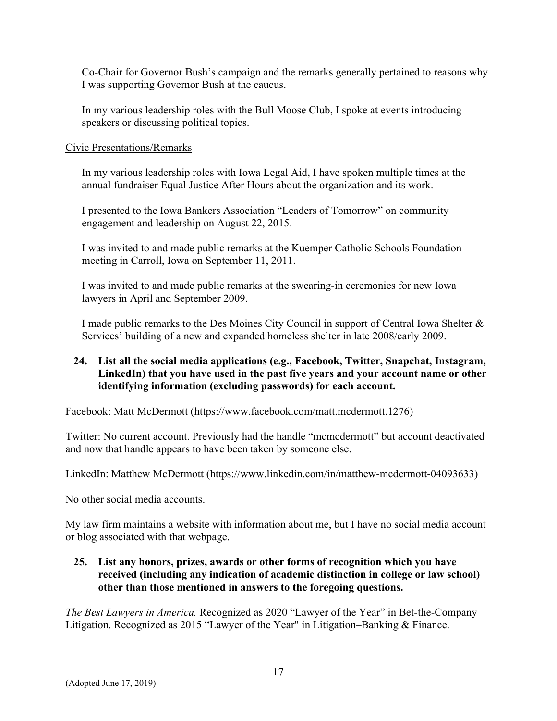Co-Chair for Governor Bush's campaign and the remarks generally pertained to reasons why I was supporting Governor Bush at the caucus.

In my various leadership roles with the Bull Moose Club, I spoke at events introducing speakers or discussing political topics.

### Civic Presentations/Remarks

In my various leadership roles with Iowa Legal Aid, I have spoken multiple times at the annual fundraiser Equal Justice After Hours about the organization and its work.

I presented to the Iowa Bankers Association "Leaders of Tomorrow" on community engagement and leadership on August 22, 2015.

I was invited to and made public remarks at the Kuemper Catholic Schools Foundation meeting in Carroll, Iowa on September 11, 2011.

I was invited to and made public remarks at the swearing-in ceremonies for new Iowa lawyers in April and September 2009.

I made public remarks to the Des Moines City Council in support of Central Iowa Shelter & Services' building of a new and expanded homeless shelter in late 2008/early 2009.

### **24. List all the social media applications (e.g., Facebook, Twitter, Snapchat, Instagram, LinkedIn) that you have used in the past five years and your account name or other identifying information (excluding passwords) for each account.**

Facebook: Matt McDermott (https://www.facebook.com/matt.mcdermott.1276)

Twitter: No current account. Previously had the handle "mcmcdermott" but account deactivated and now that handle appears to have been taken by someone else.

LinkedIn: Matthew McDermott (https://www.linkedin.com/in/matthew-mcdermott-04093633)

No other social media accounts.

My law firm maintains a website with information about me, but I have no social media account or blog associated with that webpage.

### **25. List any honors, prizes, awards or other forms of recognition which you have received (including any indication of academic distinction in college or law school) other than those mentioned in answers to the foregoing questions.**

*The Best Lawyers in America.* Recognized as 2020 "Lawyer of the Year" in Bet-the-Company Litigation. Recognized as 2015 "Lawyer of the Year" in Litigation–Banking & Finance.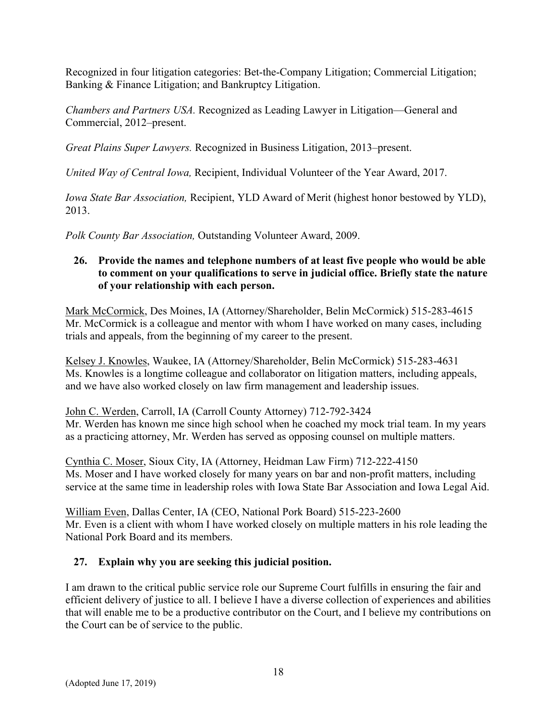Recognized in four litigation categories: Bet-the-Company Litigation; Commercial Litigation; Banking & Finance Litigation; and Bankruptcy Litigation.

*Chambers and Partners USA.* Recognized as Leading Lawyer in Litigation—General and Commercial, 2012–present.

*Great Plains Super Lawyers.* Recognized in Business Litigation, 2013–present.

*United Way of Central Iowa,* Recipient, Individual Volunteer of the Year Award, 2017.

*Iowa State Bar Association,* Recipient, YLD Award of Merit (highest honor bestowed by YLD), 2013.

*Polk County Bar Association,* Outstanding Volunteer Award, 2009.

### **26. Provide the names and telephone numbers of at least five people who would be able to comment on your qualifications to serve in judicial office. Briefly state the nature of your relationship with each person.**

Mark McCormick, Des Moines, IA (Attorney/Shareholder, Belin McCormick) 515-283-4615 Mr. McCormick is a colleague and mentor with whom I have worked on many cases, including trials and appeals, from the beginning of my career to the present.

Kelsey J. Knowles, Waukee, IA (Attorney/Shareholder, Belin McCormick) 515-283-4631 Ms. Knowles is a longtime colleague and collaborator on litigation matters, including appeals, and we have also worked closely on law firm management and leadership issues.

John C. Werden, Carroll, IA (Carroll County Attorney) 712-792-3424 Mr. Werden has known me since high school when he coached my mock trial team. In my years as a practicing attorney, Mr. Werden has served as opposing counsel on multiple matters.

Cynthia C. Moser, Sioux City, IA (Attorney, Heidman Law Firm) 712-222-4150 Ms. Moser and I have worked closely for many years on bar and non-profit matters, including service at the same time in leadership roles with Iowa State Bar Association and Iowa Legal Aid.

William Even, Dallas Center, IA (CEO, National Pork Board) 515-223-2600 Mr. Even is a client with whom I have worked closely on multiple matters in his role leading the National Pork Board and its members.

# **27. Explain why you are seeking this judicial position.**

I am drawn to the critical public service role our Supreme Court fulfills in ensuring the fair and efficient delivery of justice to all. I believe I have a diverse collection of experiences and abilities that will enable me to be a productive contributor on the Court, and I believe my contributions on the Court can be of service to the public.